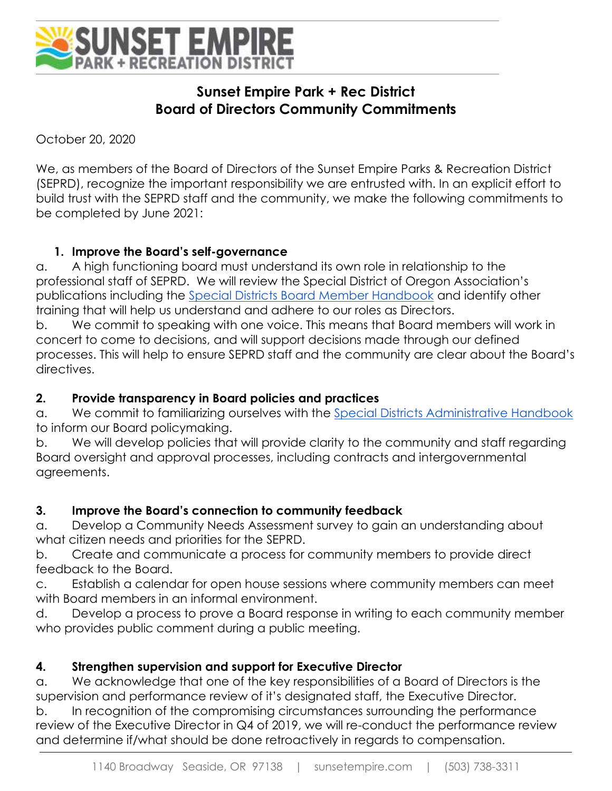

# **Sunset Empire Park + Rec District Board of Directors Community Commitments**

October 20, 2020

We, as members of the Board of Directors of the Sunset Empire Parks & Recreation District (SEPRD), recognize the important responsibility we are entrusted with. In an explicit effort to build trust with the SEPRD staff and the community, we make the following commitments to be completed by June 2021:

#### **1. Improve the Board's self-governance**

a. A high functioning board must understand its own role in relationship to the professional staff of SEPRD. We will review the Special District of Oregon Association's publications including the [Special Districts Board Member Handbook](https://www.sdao.com/files/abb83e714/board-handbook.pdf) and identify other training that will help us understand and adhere to our roles as Directors.

b. We commit to speaking with one voice. This means that Board members will work in concert to come to decisions, and will support decisions made through our defined processes. This will help to ensure SEPRD staff and the community are clear about the Board's directives.

#### **2. Provide transparency in Board policies and practices**

a. We commit to familiarizing ourselves with the [Special Districts Administrative Handbook](https://www.sdao.com/files/8e271a1fa/admin-handbook.pdf) to inform our Board policymaking.

b. We will develop policies that will provide clarity to the community and staff regarding Board oversight and approval processes, including contracts and intergovernmental agreements.

#### **3. Improve the Board's connection to community feedback**

a. Develop a Community Needs Assessment survey to gain an understanding about what citizen needs and priorities for the SEPRD.

b. Create and communicate a process for community members to provide direct feedback to the Board.

c. Establish a calendar for open house sessions where community members can meet with Board members in an informal environment.

d. Develop a process to prove a Board response in writing to each community member who provides public comment during a public meeting.

#### **4. Strengthen supervision and support for Executive Director**

a. We acknowledge that one of the key responsibilities of a Board of Directors is the supervision and performance review of it's designated staff, the Executive Director.

b. In recognition of the compromising circumstances surrounding the performance review of the Executive Director in Q4 of 2019, we will re-conduct the performance review and determine if/what should be done retroactively in regards to compensation.